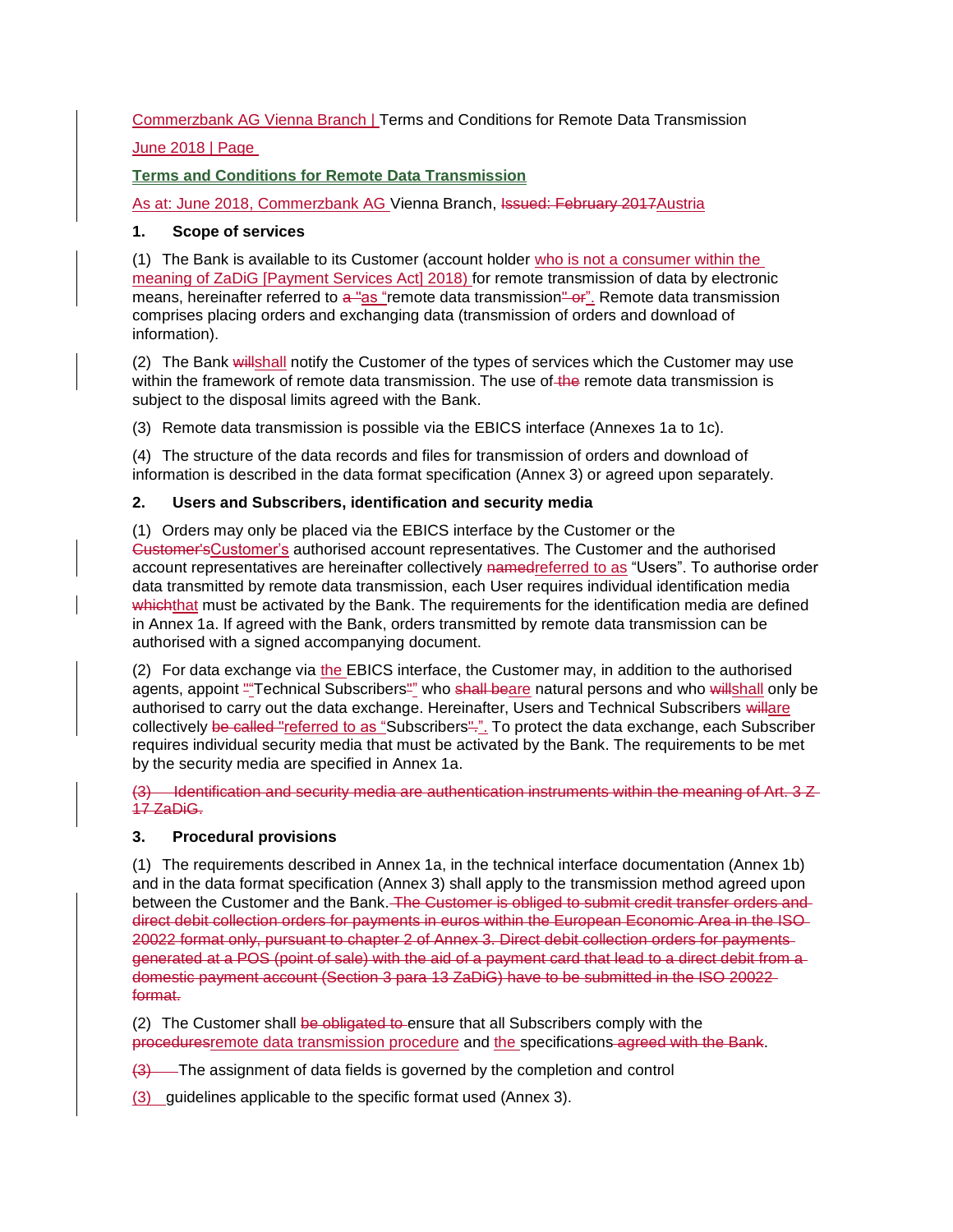# Commerzbank AG Vienna Branch | Terms and Conditions for Remote Data Transmission

# June 2018 | Page

# **Terms and Conditions for Remote Data Transmission**

As at: June 2018, Commerzbank AG Vienna Branch, Issued: February 2017 Austria

## **1. Scope of services**

(1) The Bank is available to its Customer (account holder who is not a consumer within the meaning of ZaDiG [Payment Services Act] 2018) for remote transmission of data by electronic means, hereinafter referred to a "as "remote data transmission" or". Remote data transmission comprises placing orders and exchanging data (transmission of orders and download of information).

(2) The Bank willshall notify the Customer of the types of services which the Customer may use within the framework of remote data transmission. The use of the remote data transmission is subject to the disposal limits agreed with the Bank.

(3) Remote data transmission is possible via the EBICS interface (Annexes 1a to 1c).

(4) The structure of the data records and files for transmission of orders and download of information is described in the data format specification (Annex 3) or agreed upon separately.

## **2. Users and Subscribers, identification and security media**

(1) Orders may only be placed via the EBICS interface by the Customer or the Customer'sCustomer's authorised account representatives. The Customer and the authorised account representatives are hereinafter collectively namedreferred to as "Users". To authorise order data transmitted by remote data transmission, each User requires individual identification media whichthat must be activated by the Bank. The requirements for the identification media are defined in Annex 1a. If agreed with the Bank, orders transmitted by remote data transmission can be authorised with a signed accompanying document.

(2) For data exchange via the EBICS interface, the Customer may, in addition to the authorised agents, appoint "Technical Subscribers" who shall beare natural persons and who willshall only be authorised to carry out the data exchange. Hereinafter, Users and Technical Subscribers willare collectively be called "referred to as "Subscribers"." To protect the data exchange, each Subscriber requires individual security media that must be activated by the Bank. The requirements to be met by the security media are specified in Annex 1a.

(3) Identification and security media are authentication instruments within the meaning of Art. 3 Z 17 ZaDiG.

# **3. Procedural provisions**

(1) The requirements described in Annex 1a, in the technical interface documentation (Annex 1b) and in the data format specification (Annex 3) shall apply to the transmission method agreed upon between the Customer and the Bank. The Customer is obliged to submit credit transfer orders and direct debit collection orders for payments in euros within the European Economic Area in the ISO 20022 format only, pursuant to chapter 2 of Annex 3. Direct debit collection orders for payments generated at a POS (point of sale) with the aid of a payment card that lead to a direct debit from a domestic payment account (Section 3 para 13 ZaDiG) have to be submitted in the ISO 20022 format.

(2) The Customer shall be obligated to ensure that all Subscribers comply with the proceduresremote data transmission procedure and the specifications agreed with the Bank.

(3) The assignment of data fields is governed by the completion and control

(3) guidelines applicable to the specific format used (Annex 3).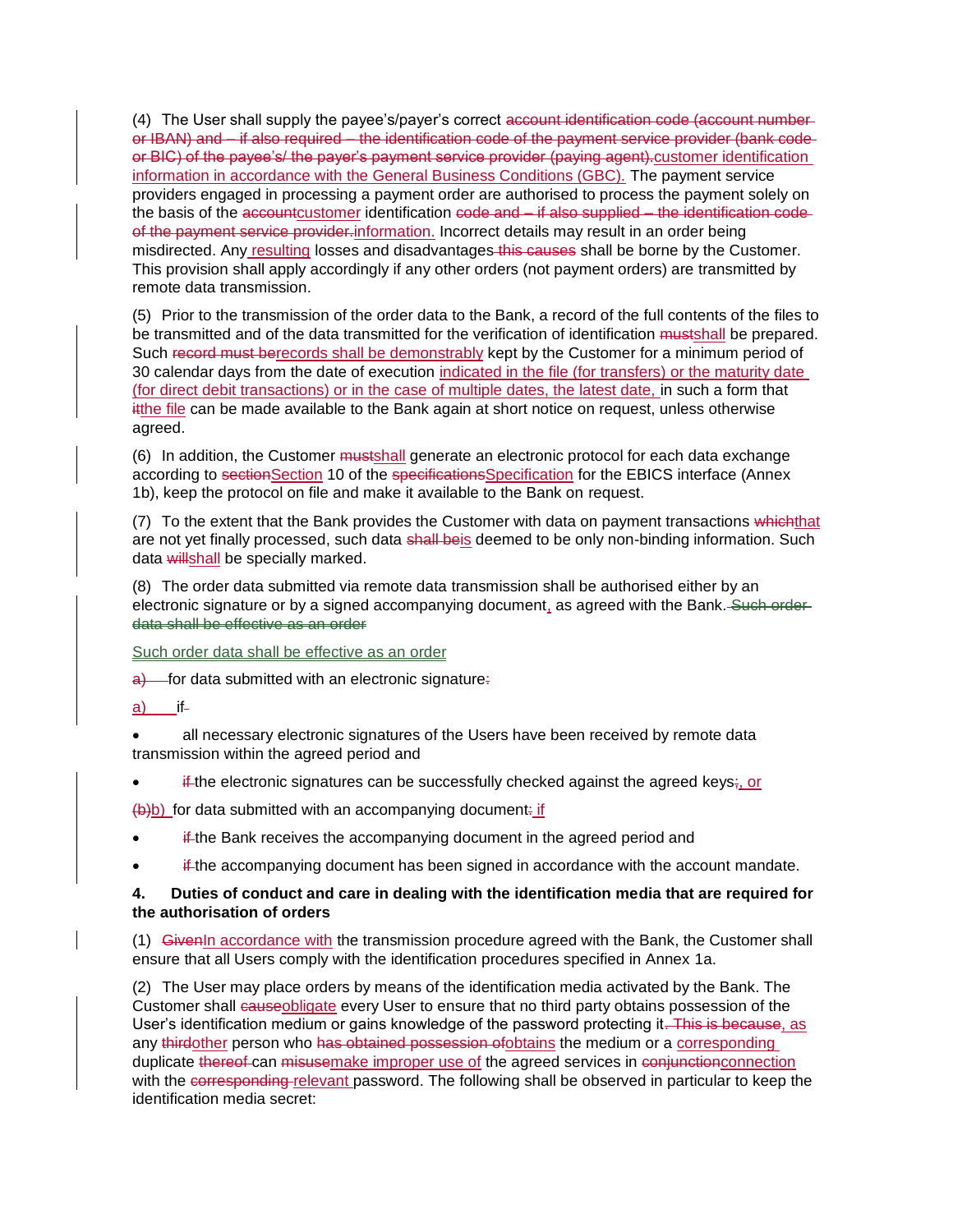(4) The User shall supply the payee's/payer's correct account identification code (account numberor IBAN) and – if also required – the identification code of the payment service provider (bank code or BIC) of the payee's/ the payer's payment service provider (paying agent).customer identification information in accordance with the General Business Conditions (GBC). The payment service providers engaged in processing a payment order are authorised to process the payment solely on the basis of the accountcustomer identification code and – if also supplied – the identification codeof the payment service provider-information. Incorrect details may result in an order being misdirected. Any resulting losses and disadvantages this causes shall be borne by the Customer. This provision shall apply accordingly if any other orders (not payment orders) are transmitted by remote data transmission.

(5) Prior to the transmission of the order data to the Bank, a record of the full contents of the files to be transmitted and of the data transmitted for the verification of identification mustshall be prepared. Such record must berecords shall be demonstrably kept by the Customer for a minimum period of 30 calendar days from the date of execution indicated in the file (for transfers) or the maturity date (for direct debit transactions) or in the case of multiple dates, the latest date, in such a form that itthe file can be made available to the Bank again at short notice on request, unless otherwise agreed.

(6) In addition, the Customer mustshall generate an electronic protocol for each data exchange according to sectionSection 10 of the specificationsSpecification for the EBICS interface (Annex 1b), keep the protocol on file and make it available to the Bank on request.

(7) To the extent that the Bank provides the Customer with data on payment transactions whichthat are not yet finally processed, such data shall beis deemed to be only non-binding information. Such data willshall be specially marked.

(8) The order data submitted via remote data transmission shall be authorised either by an electronic signature or by a signed accompanying document, as agreed with the Bank. Such orderdata shall be effective as an order

Such order data shall be effective as an order

 $\frac{a}{b}$  for data submitted with an electronic signature:

a) if

• all necessary electronic signatures of the Users have been received by remote data transmission within the agreed period and

if the electronic signatures can be successfully checked against the agreed keys; or

 $(b)$ b) for data submitted with an accompanying document: if

- if the Bank receives the accompanying document in the agreed period and
- if the accompanying document has been signed in accordance with the account mandate.

### **4. Duties of conduct and care in dealing with the identification media that are required for the authorisation of orders**

(1) GivenIn accordance with the transmission procedure agreed with the Bank, the Customer shall ensure that all Users comply with the identification procedures specified in Annex 1a.

(2) The User may place orders by means of the identification media activated by the Bank. The Customer shall causeobligate every User to ensure that no third party obtains possession of the User's identification medium or gains knowledge of the password protecting it. This is because, as any thirdother person who has obtained possession of obtains the medium or a corresponding duplicate thereof can misusemake improper use of the agreed services in conjunctionconnection with the corresponding-relevant password. The following shall be observed in particular to keep the identification media secret: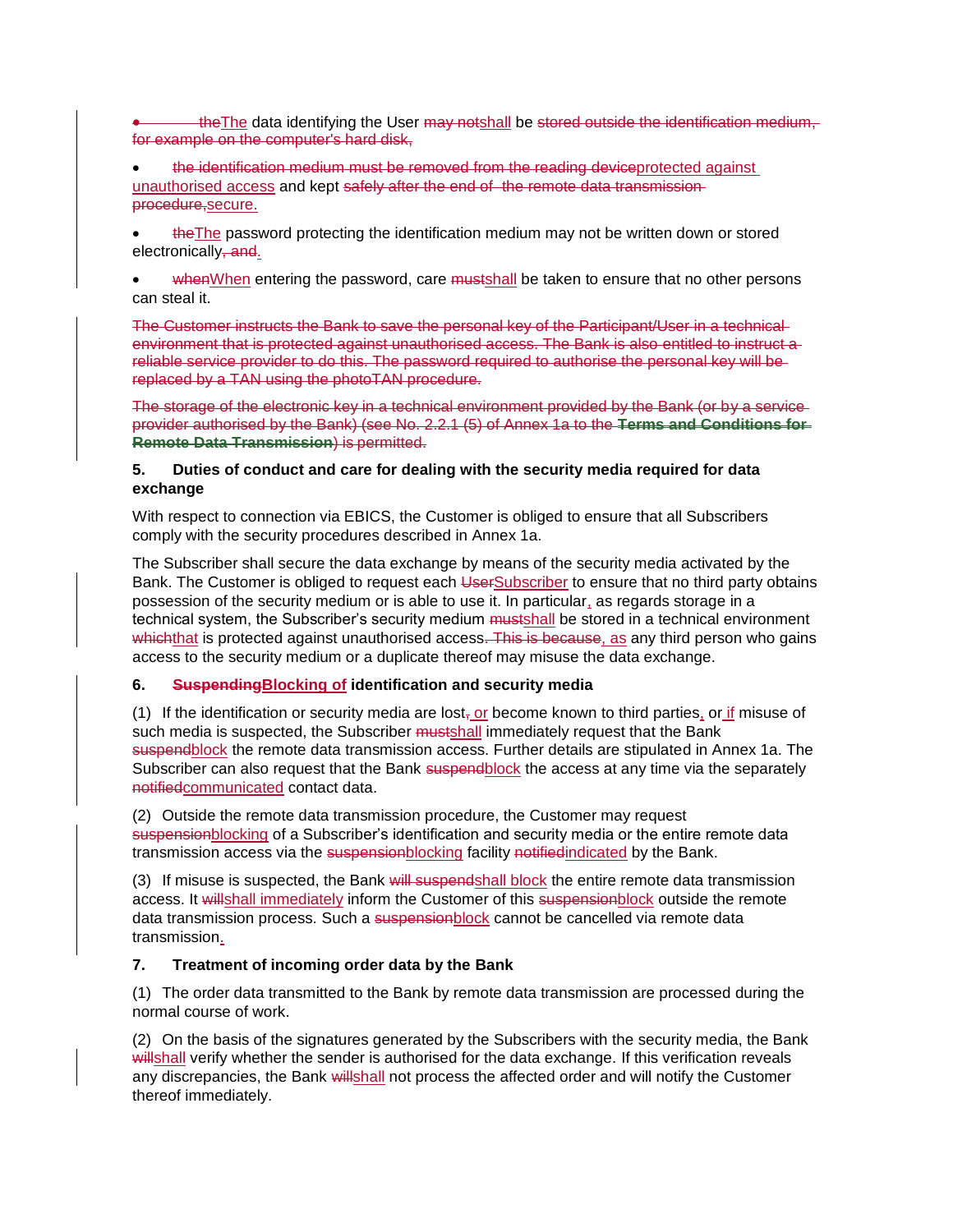the The data identifying the User may notshall be stored outside the identification medium, for example on the computer's hard disk,

the identification medium must be removed from the reading deviceprotected against unauthorised access and kept safely after the end of the remote data transmission procedure,secure.

• theThe password protecting the identification medium may not be written down or stored electronically, and.

whenWhen entering the password, care mustshall be taken to ensure that no other persons can steal it.

The Customer instructs the Bank to save the personal key of the Participant/User in a technical environment that is protected against unauthorised access. The Bank is also entitled to instruct a reliable service provider to do this. The password required to authorise the personal key will be replaced by a TAN using the photoTAN procedure.

The storage of the electronic key in a technical environment provided by the Bank (or by a service provider authorised by the Bank) (see No. 2.2.1 (5) of Annex 1a to the **Terms and Conditions for Remote Data Transmission**) is permitted.

## **5. Duties of conduct and care for dealing with the security media required for data exchange**

With respect to connection via EBICS, the Customer is obliged to ensure that all Subscribers comply with the security procedures described in Annex 1a.

The Subscriber shall secure the data exchange by means of the security media activated by the Bank. The Customer is obliged to request each UserSubscriber to ensure that no third party obtains possession of the security medium or is able to use it. In particular, as regards storage in a technical system, the Subscriber's security medium mustshall be stored in a technical environment whichthat is protected against unauthorised access. This is because, as any third person who gains access to the security medium or a duplicate thereof may misuse the data exchange.

# **6. SuspendingBlocking of identification and security media**

(1) If the identification or security media are  $\text{lost}_T$  or become known to third parties, or if misuse of such media is suspected, the Subscriber mustshall immediately request that the Bank suspendblock the remote data transmission access. Further details are stipulated in Annex 1a. The Subscriber can also request that the Bank suspendblock the access at any time via the separately notifiedcommunicated contact data.

(2) Outside the remote data transmission procedure, the Customer may request suspensionblocking of a Subscriber's identification and security media or the entire remote data transmission access via the suspension blocking facility notified indicated by the Bank.

(3) If misuse is suspected, the Bank will suspendshall block the entire remote data transmission access. It willshall immediately inform the Customer of this suspensionblock outside the remote data transmission process. Such a suspensionblock cannot be cancelled via remote data transmission.

# **7. Treatment of incoming order data by the Bank**

(1) The order data transmitted to the Bank by remote data transmission are processed during the normal course of work.

(2) On the basis of the signatures generated by the Subscribers with the security media, the Bank willshall verify whether the sender is authorised for the data exchange. If this verification reveals any discrepancies, the Bank willshall not process the affected order and will notify the Customer thereof immediately.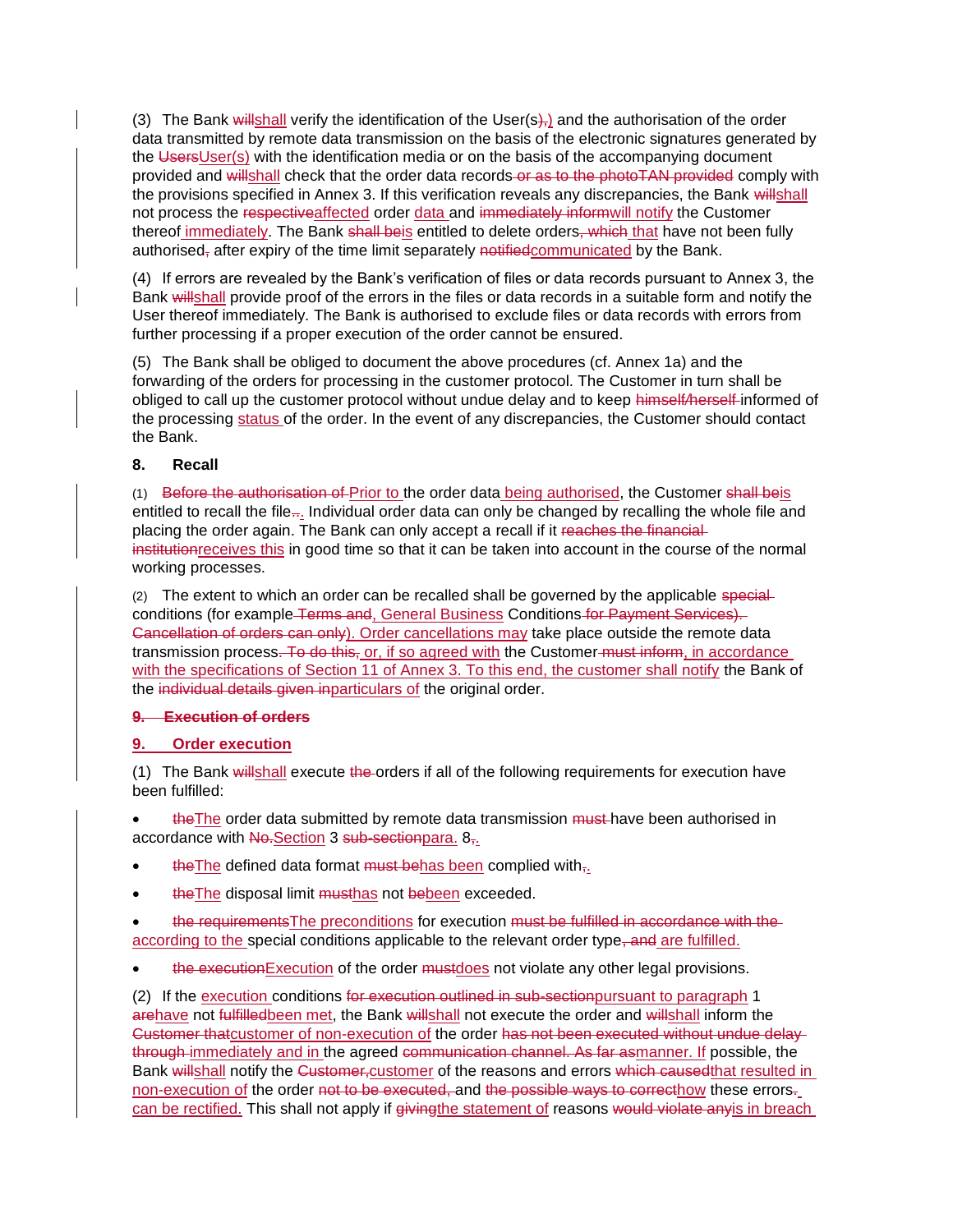(3) The Bank willshall verify the identification of the User( $s$ ), and the authorisation of the order data transmitted by remote data transmission on the basis of the electronic signatures generated by the UsersUser(s) with the identification media or on the basis of the accompanying document provided and willshall check that the order data records or as to the photoTAN provided comply with the provisions specified in Annex 3. If this verification reveals any discrepancies, the Bank willshall not process the respectiveaffected order data and immediately informwill notify the Customer thereof immediately. The Bank shall beis entitled to delete orders, which that have not been fully authorised<sub> $<sub>1</sub>$  after expiry of the time limit separately notified communicated by the Bank.</sub></sub>

(4) If errors are revealed by the Bank's verification of files or data records pursuant to Annex 3, the Bank willshall provide proof of the errors in the files or data records in a suitable form and notify the User thereof immediately. The Bank is authorised to exclude files or data records with errors from further processing if a proper execution of the order cannot be ensured.

(5) The Bank shall be obliged to document the above procedures (cf. Annex 1a) and the forwarding of the orders for processing in the customer protocol. The Customer in turn shall be obliged to call up the customer protocol without undue delay and to keep himself*/*herself informed of the processing status of the order. In the event of any discrepancies, the Customer should contact the Bank.

## **8. Recall**

(1) Before the authorisation of Prior to the order data being authorised, the Customer shall beis entitled to recall the file... Individual order data can only be changed by recalling the whole file and placing the order again. The Bank can only accept a recall if it reaches the financialinstitutionreceives this in good time so that it can be taken into account in the course of the normal working processes.

(2) The extent to which an order can be recalled shall be governed by the applicable specialconditions (for example Terms and, General Business Conditions for Payment Services). Gancellation of orders can only). Order cancellations may take place outside the remote data transmission process. To do this, or, if so agreed with the Customer must inform, in accordance with the specifications of Section 11 of Annex 3. To this end, the customer shall notify the Bank of the individual details given inparticulars of the original order.

### **9. Execution of orders**

# **9. Order execution**

(1) The Bank willshall execute the orders if all of the following requirements for execution have been fulfilled:

the The order data submitted by remote data transmission must have been authorised in accordance with No-Section 3 sub-sectionpara. 8<sub>7-</sub>

- the The defined data format  $must$  behas been complied with $\tau$ .
- the The disposal limit musthas not bebeen exceeded.
- the requirements The preconditions for execution must be fulfilled in accordance with the according to the special conditions applicable to the relevant order type, and are fulfilled.
- the executionExecution of the order mustdoes not violate any other legal provisions.

(2) If the execution conditions for execution outlined in sub-section pursuant to paragraph 1 arehave not fulfilledbeen met, the Bank willshall not execute the order and willshall inform the Customer thatcustomer of non-execution of the order has not been executed without undue delaythrough immediately and in the agreed communication channel. As far asmanner. If possible, the Bank willshall notify the Customer-customer of the reasons and errors which caused that resulted in non-execution of the order not to be executed, and the possible ways to correcthow these errors. can be rectified. This shall not apply if giving the statement of reasons would violate anyis in breach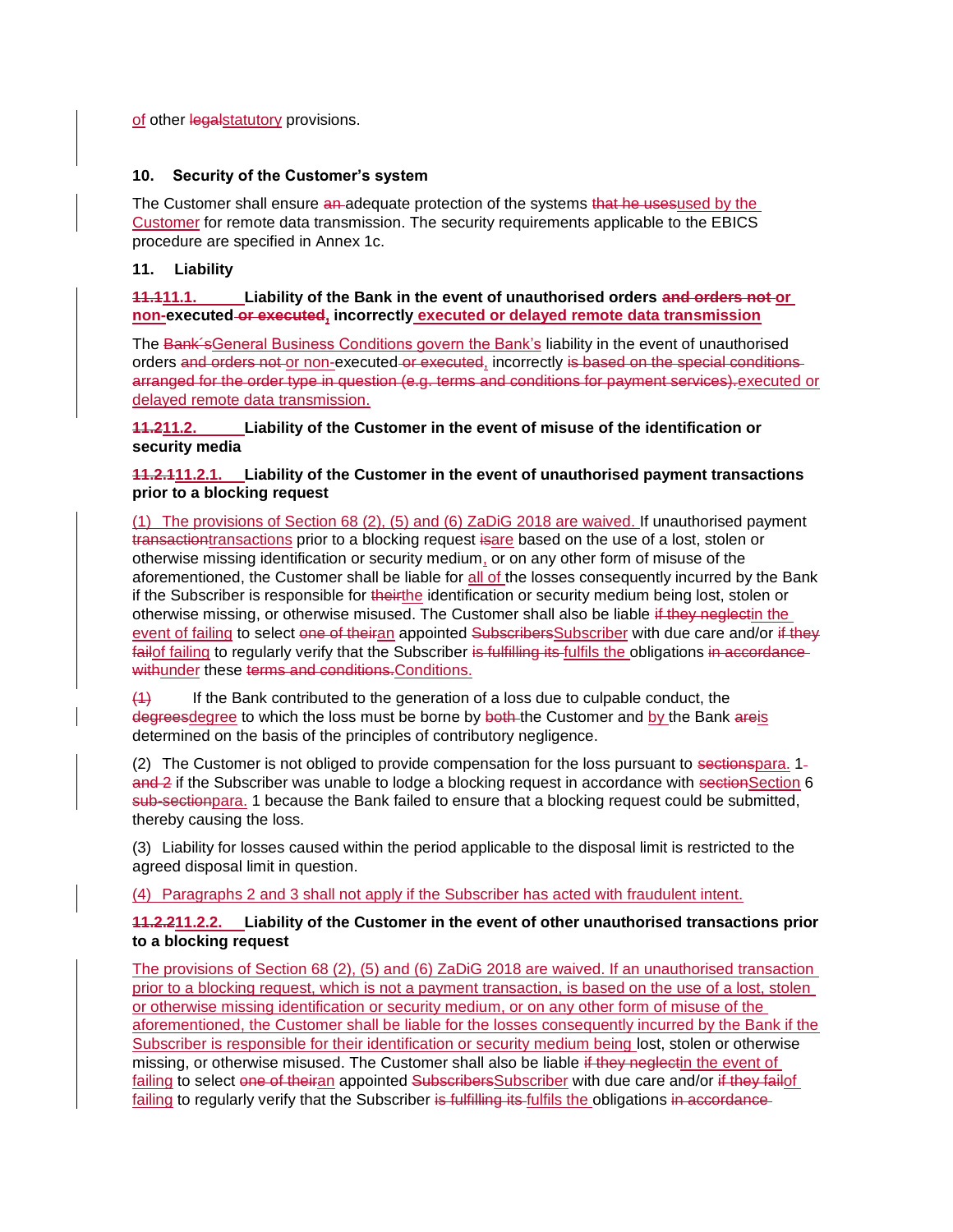of other legalstatutory provisions.

## **10. Security of the Customer's system**

The Customer shall ensure an-adequate protection of the systems that he usesused by the Customer for remote data transmission. The security requirements applicable to the EBICS procedure are specified in Annex 1c.

## **11. Liability**

## **11.111.1. Liability of the Bank in the event of unauthorised orders and orders not or non-executed or executed, incorrectly executed or delayed remote data transmission**

The Bank´sGeneral Business Conditions govern the Bank's liability in the event of unauthorised orders and orders not or non-executed or executed, incorrectly is based on the special conditions arranged for the order type in question (e.g. terms and conditions for payment services).executed or delayed remote data transmission.

# **11.211.2. Liability of the Customer in the event of misuse of the identification or security media**

# **11.2.111.2.1. Liability of the Customer in the event of unauthorised payment transactions prior to a blocking request**

(1) The provisions of Section 68 (2), (5) and (6) ZaDiG 2018 are waived. If unauthorised payment transactiontransactions prior to a blocking request isare based on the use of a lost, stolen or otherwise missing identification or security medium, or on any other form of misuse of the aforementioned, the Customer shall be liable for all of the losses consequently incurred by the Bank if the Subscriber is responsible for theirthe identification or security medium being lost, stolen or otherwise missing, or otherwise misused. The Customer shall also be liable if they neglectin the event of failing to select one of theiran appointed Subscribers Subscriber with due care and/or if they failof failing to regularly verify that the Subscriber is fulfilling its fulfills the obligations in accordance withunder these terms and conditions. Conditions.

(1) If the Bank contributed to the generation of a loss due to culpable conduct, the degreesdegree to which the loss must be borne by both the Customer and by the Bank areis determined on the basis of the principles of contributory negligence.

(2) The Customer is not obliged to provide compensation for the loss pursuant to sectionspara. 1and 2 if the Subscriber was unable to lodge a blocking request in accordance with sectionSection 6 sub-sectionpara. 1 because the Bank failed to ensure that a blocking request could be submitted, thereby causing the loss.

(3) Liability for losses caused within the period applicable to the disposal limit is restricted to the agreed disposal limit in question.

### (4) Paragraphs 2 and 3 shall not apply if the Subscriber has acted with fraudulent intent.

# **11.2.211.2.2. Liability of the Customer in the event of other unauthorised transactions prior to a blocking request**

The provisions of Section 68 (2), (5) and (6) ZaDiG 2018 are waived. If an unauthorised transaction prior to a blocking request, which is not a payment transaction, is based on the use of a lost, stolen or otherwise missing identification or security medium, or on any other form of misuse of the aforementioned, the Customer shall be liable for the losses consequently incurred by the Bank if the Subscriber is responsible for their identification or security medium being lost, stolen or otherwise missing, or otherwise misused. The Customer shall also be liable if they neglectin the event of failing to select one of theiran appointed SubscribersSubscriber with due care and/or if they failof failing to regularly verify that the Subscriber is fulfilling its fulfils the obligations in accordance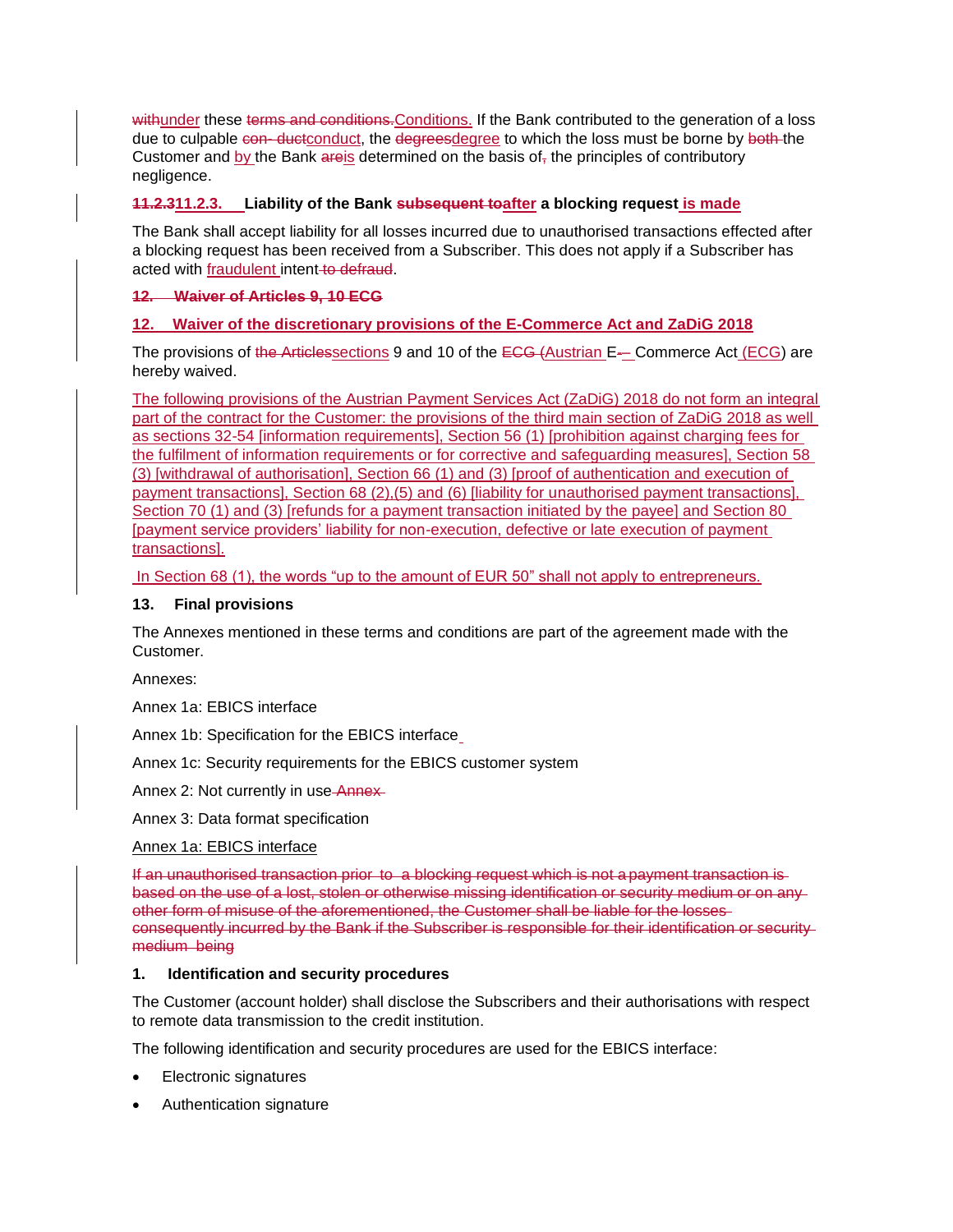withunder these terms and conditions. Conditions. If the Bank contributed to the generation of a loss due to culpable con-ductconduct, the degreesdegree to which the loss must be borne by both-the Customer and by the Bank areis determined on the basis of  $\tau$  the principles of contributory negligence.

## **11.2.311.2.3. Liability of the Bank subsequent toafter a blocking request is made**

The Bank shall accept liability for all losses incurred due to unauthorised transactions effected after a blocking request has been received from a Subscriber. This does not apply if a Subscriber has acted with fraudulent intent-to-defraud.

## **12. Waiver of Articles 9, 10 ECG**

# **12. Waiver of the discretionary provisions of the E-Commerce Act and ZaDiG 2018**

The provisions of the Articlessections 9 and 10 of the  $E\text{-}G$  (Austrian E-– Commerce Act (ECG) are hereby waived.

The following provisions of the Austrian Payment Services Act (ZaDiG) 2018 do not form an integral part of the contract for the Customer: the provisions of the third main section of ZaDiG 2018 as well as sections 32-54 [information requirements], Section 56 (1) [prohibition against charging fees for the fulfilment of information requirements or for corrective and safeguarding measures], Section 58 (3) [withdrawal of authorisation], Section 66 (1) and (3) [proof of authentication and execution of payment transactions], Section 68 (2),(5) and (6) [liability for unauthorised payment transactions], Section 70 (1) and (3) [refunds for a payment transaction initiated by the payee] and Section 80 [payment service providers' liability for non-execution, defective or late execution of payment transactions].

In Section 68 (1), the words "up to the amount of EUR 50" shall not apply to entrepreneurs.

## **13. Final provisions**

The Annexes mentioned in these terms and conditions are part of the agreement made with the Customer.

Annexes:

Annex 1a: EBICS interface

Annex 1b: Specification for the EBICS interface

Annex 1c: Security requirements for the EBICS customer system

Annex 2: Not currently in use Annex-

Annex 3: Data format specification

### Annex 1a: EBICS interface

If an unauthorised transaction prior to a blocking request which is not a payment transaction is based on the use of a lost, stolen or otherwise missing identification or security medium or on any other form of misuse of the aforementioned, the Customer shall be liable for the losses consequently incurred by the Bank if the Subscriber is responsible for their identification or security medium being

### **1. Identification and security procedures**

The Customer (account holder) shall disclose the Subscribers and their authorisations with respect to remote data transmission to the credit institution.

The following identification and security procedures are used for the EBICS interface:

- Electronic signatures
- Authentication signature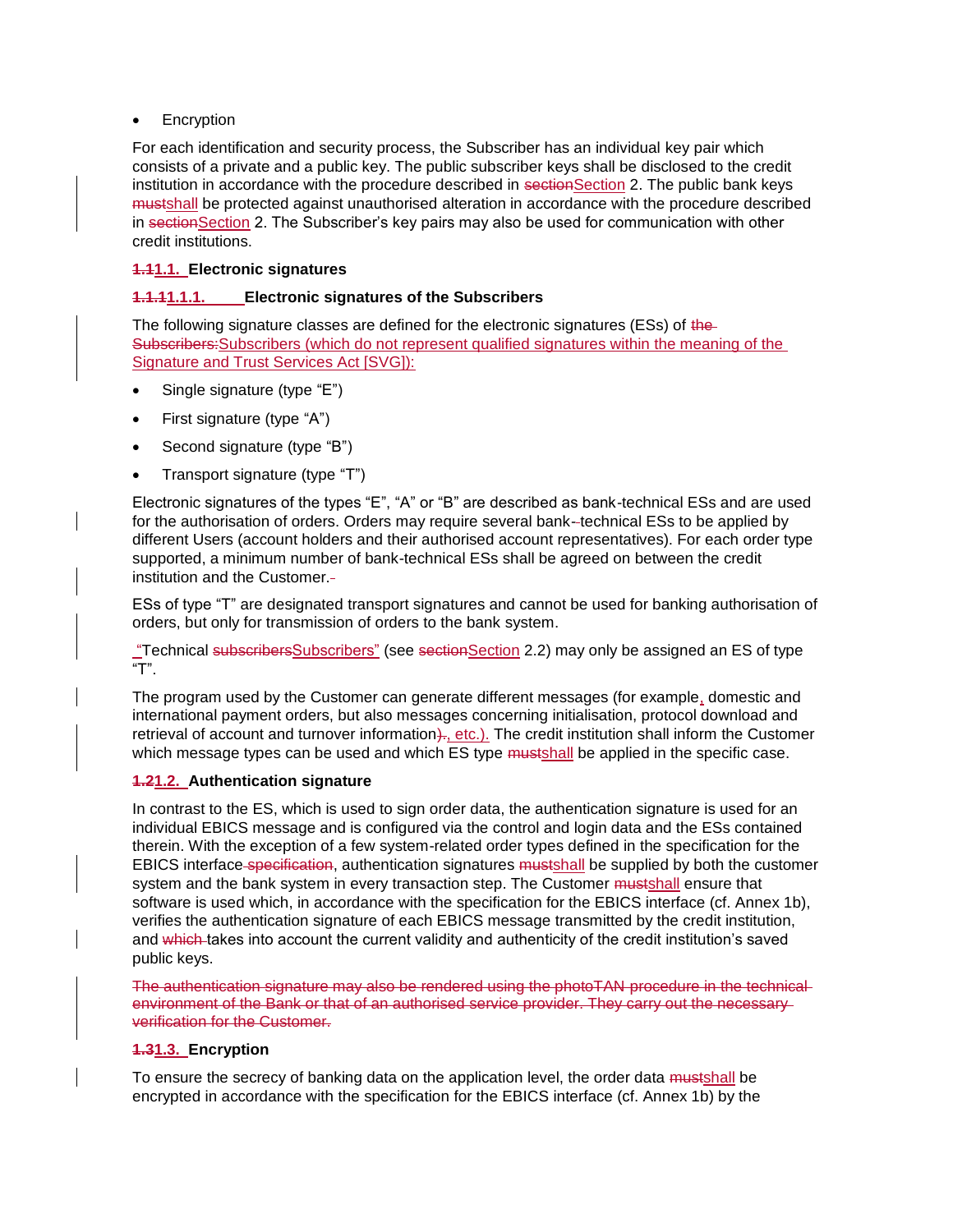## • Encryption

For each identification and security process, the Subscriber has an individual key pair which consists of a private and a public key. The public subscriber keys shall be disclosed to the credit institution in accordance with the procedure described in section Section 2. The public bank keys mustshall be protected against unauthorised alteration in accordance with the procedure described in section Section 2. The Subscriber's key pairs may also be used for communication with other credit institutions.

# **1.11.1. Electronic signatures**

## **1.1.11.1.1. Electronic signatures of the Subscribers**

The following signature classes are defined for the electronic signatures (ESs) of the-Subscribers:Subscribers (which do not represent qualified signatures within the meaning of the Signature and Trust Services Act [SVG]):

- Single signature (type "E")
- First signature (type "A")
- Second signature (type "B")
- Transport signature (type "T")

Electronic signatures of the types "E", "A" or "B" are described as bank-technical ESs and are used for the authorisation of orders. Orders may require several bank- technical ESs to be applied by different Users (account holders and their authorised account representatives). For each order type supported, a minimum number of bank-technical ESs shall be agreed on between the credit institution and the Customer.

ESs of type "T" are designated transport signatures and cannot be used for banking authorisation of orders, but only for transmission of orders to the bank system.

"Technical subscribersSubscribers" (see sectionSection 2.2) may only be assigned an ES of type "T".

The program used by the Customer can generate different messages (for example, domestic and international payment orders, but also messages concerning initialisation, protocol download and retrieval of account and turnover information $)$ ., etc.). The credit institution shall inform the Customer which message types can be used and which ES type mustshall be applied in the specific case.

### **1.21.2. Authentication signature**

In contrast to the ES, which is used to sign order data, the authentication signature is used for an individual EBICS message and is configured via the control and login data and the ESs contained therein. With the exception of a few system-related order types defined in the specification for the EBICS interface specification, authentication signatures mustshall be supplied by both the customer system and the bank system in every transaction step. The Customer mustshall ensure that software is used which, in accordance with the specification for the EBICS interface (cf. Annex 1b), verifies the authentication signature of each EBICS message transmitted by the credit institution, and which takes into account the current validity and authenticity of the credit institution's saved public keys.

The authentication signature may also be rendered using the photoTAN procedure in the technical environment of the Bank or that of an authorised service provider. They carry out the necessary verification for the Customer.

# **1.31.3. Encryption**

To ensure the secrecy of banking data on the application level, the order data mustshall be encrypted in accordance with the specification for the EBICS interface (cf. Annex 1b) by the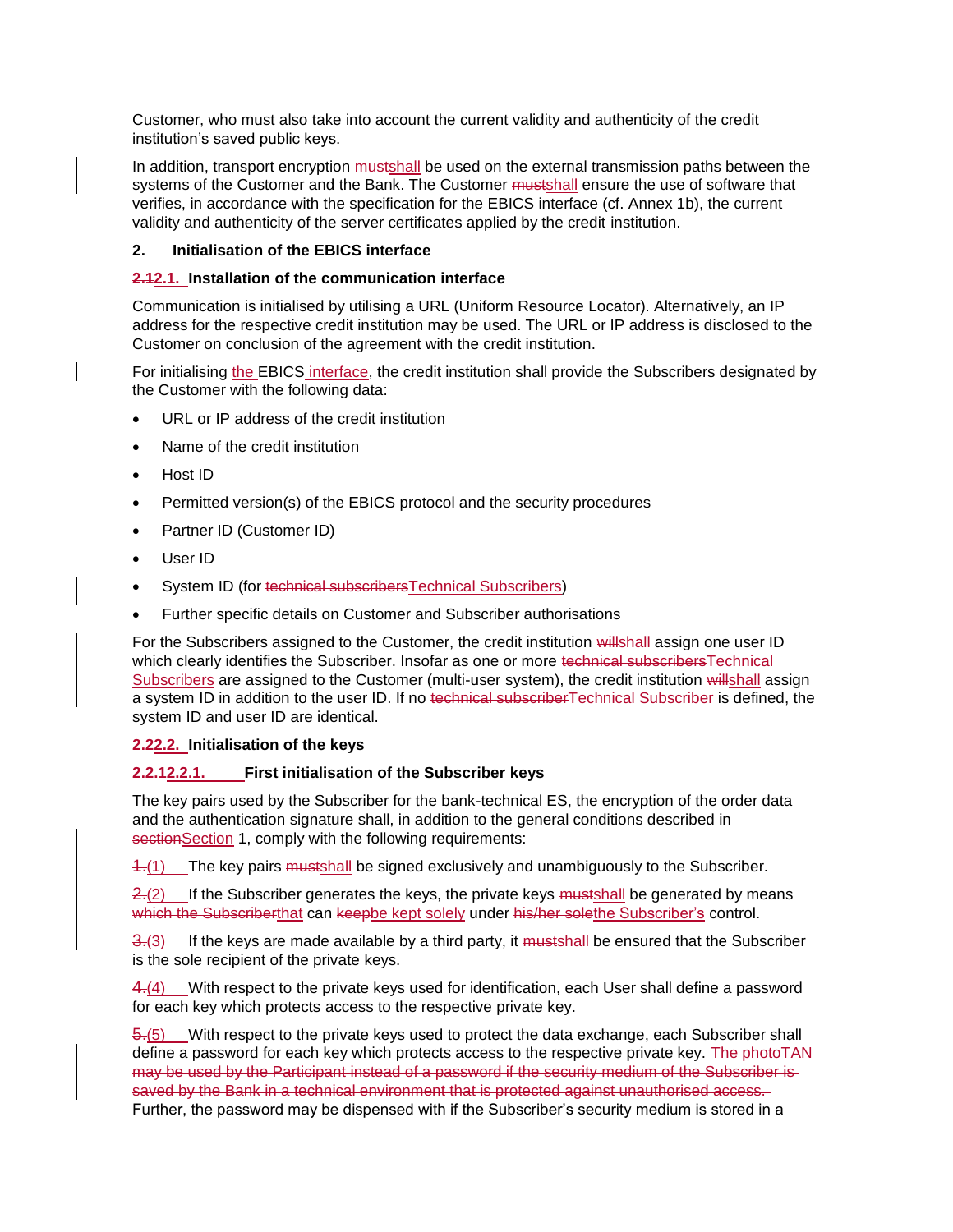Customer, who must also take into account the current validity and authenticity of the credit institution's saved public keys.

In addition, transport encryption mustshall be used on the external transmission paths between the systems of the Customer and the Bank. The Customer mustshall ensure the use of software that verifies, in accordance with the specification for the EBICS interface (cf. Annex 1b), the current validity and authenticity of the server certificates applied by the credit institution.

### **2. Initialisation of the EBICS interface**

#### **2.12.1. Installation of the communication interface**

Communication is initialised by utilising a URL (Uniform Resource Locator). Alternatively, an IP address for the respective credit institution may be used. The URL or IP address is disclosed to the Customer on conclusion of the agreement with the credit institution.

For initialising the EBICS interface, the credit institution shall provide the Subscribers designated by the Customer with the following data:

- URL or IP address of the credit institution
- Name of the credit institution
- Host ID
- Permitted version(s) of the EBICS protocol and the security procedures
- Partner ID (Customer ID)
- User ID
- System ID (for technical subscribersTechnical Subscribers)
- Further specific details on Customer and Subscriber authorisations

For the Subscribers assigned to the Customer, the credit institution willshall assign one user ID which clearly identifies the Subscriber. Insofar as one or more technical subscribersTechnical Subscribers are assigned to the Customer (multi-user system), the credit institution willshall assign a system ID in addition to the user ID. If no technical subscriberTechnical Subscriber is defined, the system ID and user ID are identical.

#### **2.22.2. Initialisation of the keys**

#### **2.2.12.2.1. First initialisation of the Subscriber keys**

The key pairs used by the Subscriber for the bank-technical ES, the encryption of the order data and the authentication signature shall, in addition to the general conditions described in sectionSection 1, comply with the following requirements:

1.(1) The key pairs mustshall be signed exclusively and unambiguously to the Subscriber.

 $2-(2)$  If the Subscriber generates the keys, the private keys mustshall be generated by means which the Subscriberthat can keepbe kept solely under his/her solethe Subscriber's control.

 $\frac{3}{3}$ .(3) If the keys are made available by a third party, it mustshall be ensured that the Subscriber is the sole recipient of the private keys.

4.(4) With respect to the private keys used for identification, each User shall define a password for each key which protects access to the respective private key.

5.(5) With respect to the private keys used to protect the data exchange, each Subscriber shall define a password for each key which protects access to the respective private key. The photoTANmay be used by the Participant instead of a password if the security medium of the Subscriber is saved by the Bank in a technical environment that is protected against unauthorised access. Further, the password may be dispensed with if the Subscriber's security medium is stored in a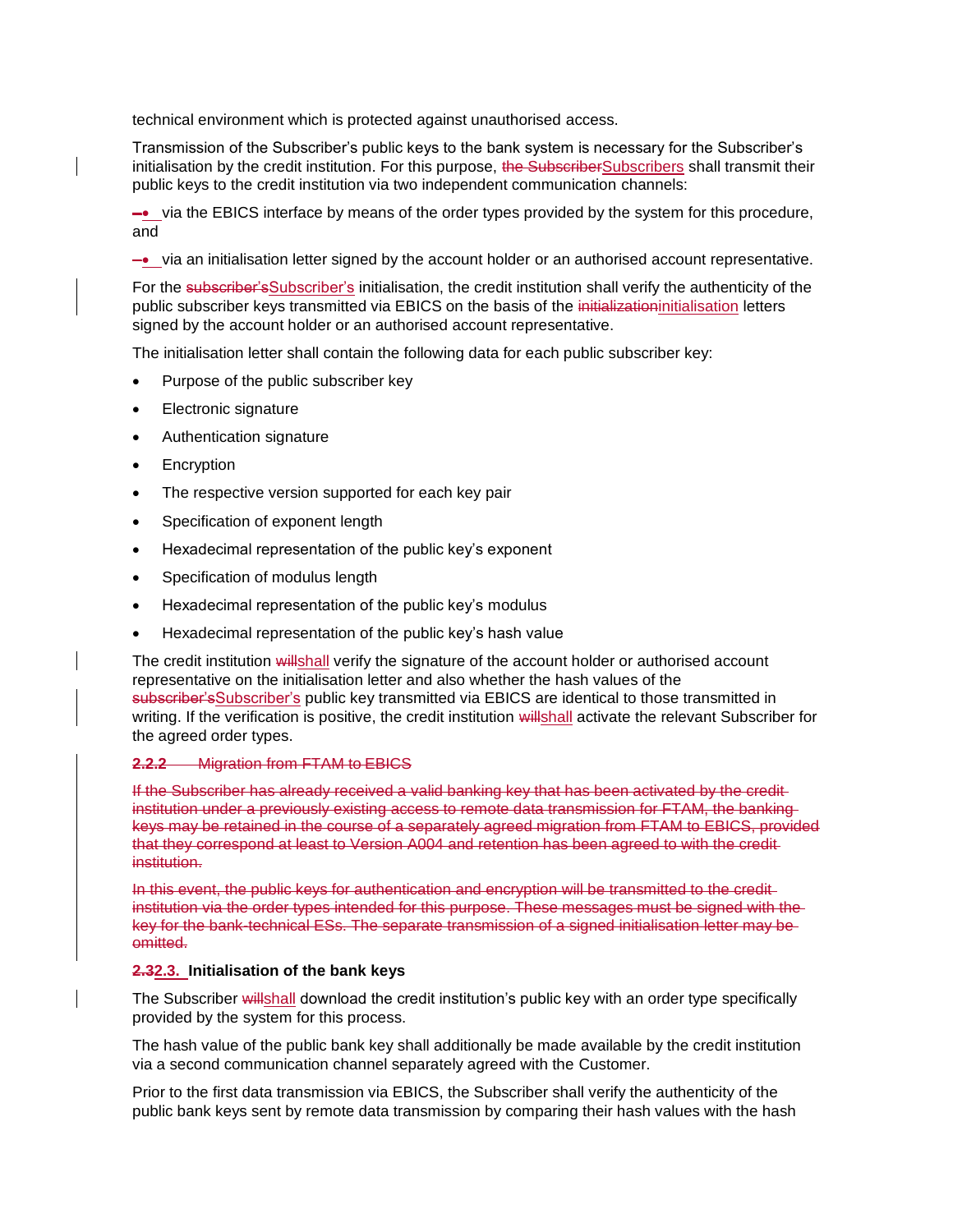technical environment which is protected against unauthorised access.

Transmission of the Subscriber's public keys to the bank system is necessary for the Subscriber's initialisation by the credit institution. For this purpose, the SubscriberSubscribers shall transmit their public keys to the credit institution via two independent communication channels:

–• via the EBICS interface by means of the order types provided by the system for this procedure, and

–• via an initialisation letter signed by the account holder or an authorised account representative.

For the subscriber's Subscriber's initialisation, the credit institution shall verify the authenticity of the public subscriber keys transmitted via EBICS on the basis of the initializationinitialisation letters signed by the account holder or an authorised account representative.

The initialisation letter shall contain the following data for each public subscriber key:

- Purpose of the public subscriber key
- Electronic signature
- Authentication signature
- **Encryption**
- The respective version supported for each key pair
- Specification of exponent length
- Hexadecimal representation of the public key's exponent
- Specification of modulus length
- Hexadecimal representation of the public key's modulus
- Hexadecimal representation of the public key's hash value

The credit institution willshall verify the signature of the account holder or authorised account representative on the initialisation letter and also whether the hash values of the subscriber'sSubscriber's public key transmitted via EBICS are identical to those transmitted in writing. If the verification is positive, the credit institution willshall activate the relevant Subscriber for the agreed order types.

#### **2.2.2** Migration from FTAM to EBICS

If the Subscriber has already received a valid banking key that has been activated by the credit institution under a previously existing access to remote data transmission for FTAM, the banking keys may be retained in the course of a separately agreed migration from FTAM to EBICS, provided that they correspond at least to Version A004 and retention has been agreed to with the credit institution.

In this event, the public keys for authentication and encryption will be transmitted to the credit institution via the order types intended for this purpose. These messages must be signed with the key for the bank-technical ESs. The separate transmission of a signed initialisation letter may be omitted.

#### **2.32.3. Initialisation of the bank keys**

The Subscriber will shall download the credit institution's public key with an order type specifically provided by the system for this process.

The hash value of the public bank key shall additionally be made available by the credit institution via a second communication channel separately agreed with the Customer.

Prior to the first data transmission via EBICS, the Subscriber shall verify the authenticity of the public bank keys sent by remote data transmission by comparing their hash values with the hash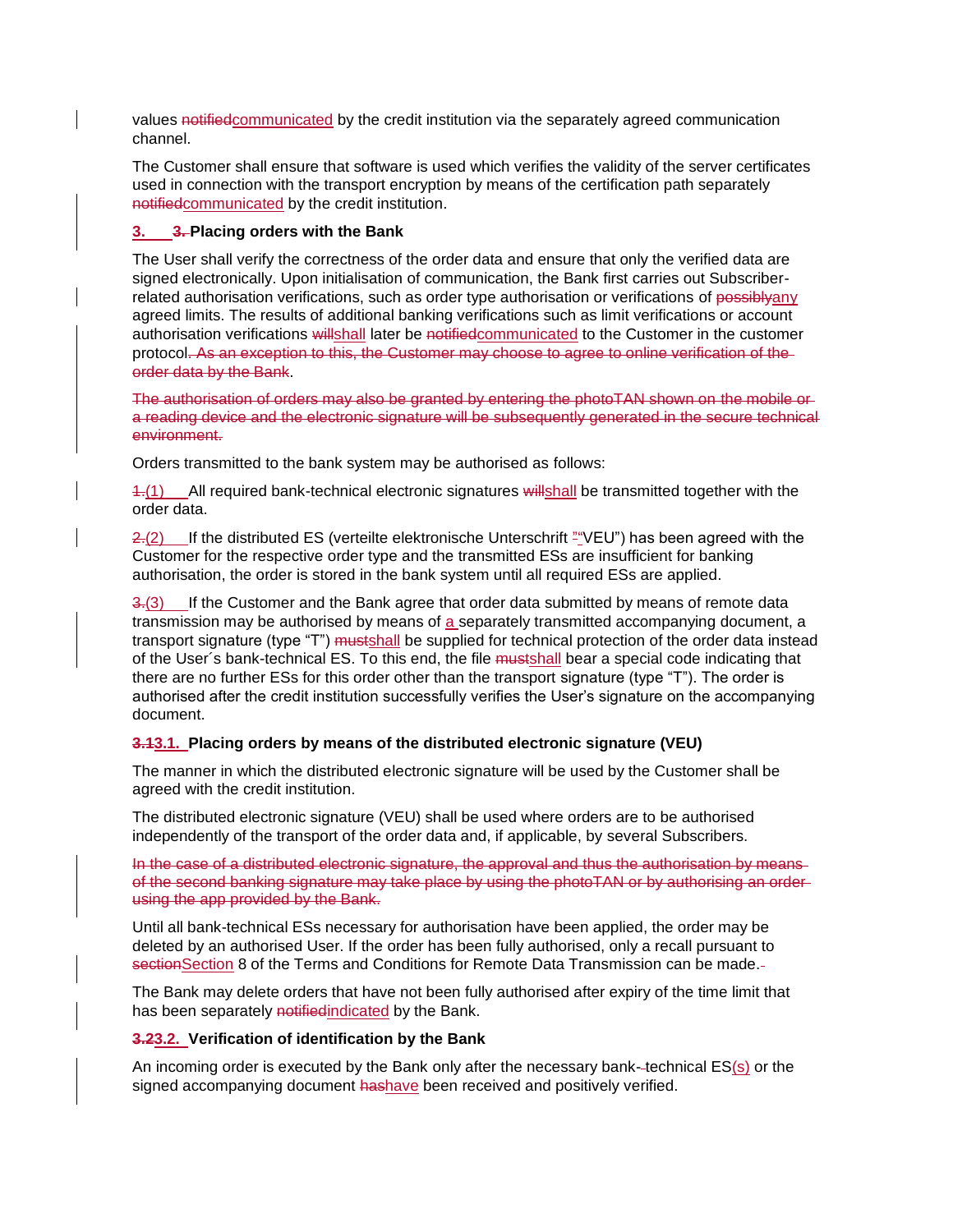values notifiedcommunicated by the credit institution via the separately agreed communication channel.

The Customer shall ensure that software is used which verifies the validity of the server certificates used in connection with the transport encryption by means of the certification path separately notifiedcommunicated by the credit institution.

### **3. 3. Placing orders with the Bank**

The User shall verify the correctness of the order data and ensure that only the verified data are signed electronically. Upon initialisation of communication, the Bank first carries out Subscriberrelated authorisation verifications, such as order type authorisation or verifications of possiblyany agreed limits. The results of additional banking verifications such as limit verifications or account authorisation verifications willshall later be notifiedcommunicated to the Customer in the customer protocol. As an exception to this, the Customer may choose to agree to online verification of the order data by the Bank.

The authorisation of orders may also be granted by entering the photoTAN shown on the mobile or a reading device and the electronic signature will be subsequently generated in the secure technical environment.

Orders transmitted to the bank system may be authorised as follows:

1.(1) All required bank-technical electronic signatures will shall be transmitted together with the order data.

 $2-(2)$  If the distributed ES (verteilte elektronische Unterschrift ""VEU") has been agreed with the Customer for the respective order type and the transmitted ESs are insufficient for banking authorisation, the order is stored in the bank system until all required ESs are applied.

3.(3) If the Customer and the Bank agree that order data submitted by means of remote data transmission may be authorised by means of a separately transmitted accompanying document, a transport signature (type "T") mustshall be supplied for technical protection of the order data instead of the User's bank-technical ES. To this end, the file mustshall bear a special code indicating that there are no further ESs for this order other than the transport signature (type "T"). The order is authorised after the credit institution successfully verifies the User's signature on the accompanying document.

### **3.13.1. Placing orders by means of the distributed electronic signature (VEU)**

The manner in which the distributed electronic signature will be used by the Customer shall be agreed with the credit institution.

The distributed electronic signature (VEU) shall be used where orders are to be authorised independently of the transport of the order data and, if applicable, by several Subscribers.

In the case of a distributed electronic signature, the approval and thus the authorisation by means of the second banking signature may take place by using the photoTAN or by authorising an order using the app provided by the Bank.

Until all bank-technical ESs necessary for authorisation have been applied, the order may be deleted by an authorised User. If the order has been fully authorised, only a recall pursuant to section Section 8 of the Terms and Conditions for Remote Data Transmission can be made.

The Bank may delete orders that have not been fully authorised after expiry of the time limit that has been separately notified indicated by the Bank.

#### **3.23.2. Verification of identification by the Bank**

An incoming order is executed by the Bank only after the necessary bank- technical ES(s) or the signed accompanying document hashave been received and positively verified.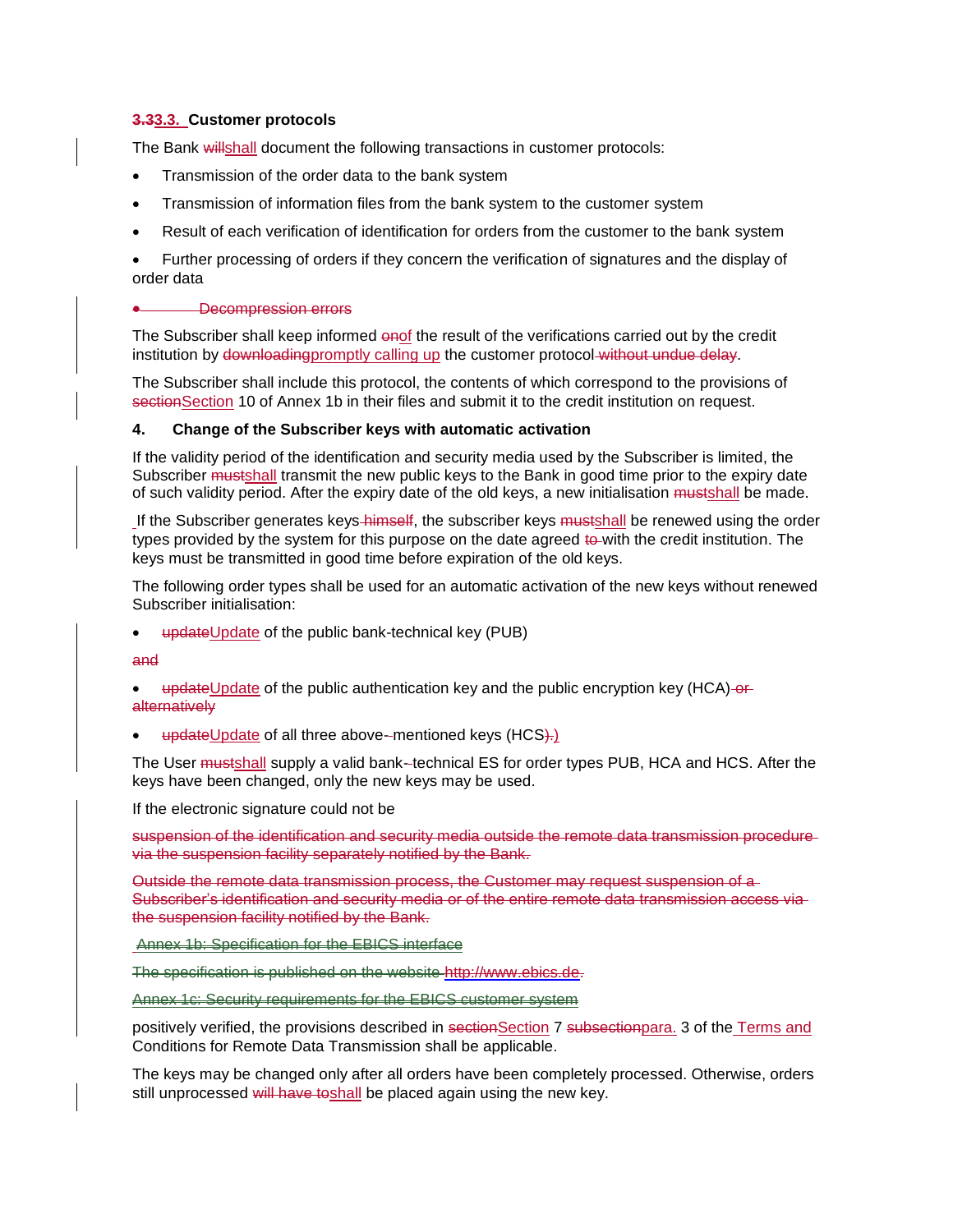### **3.33.3. Customer protocols**

The Bank willshall document the following transactions in customer protocols:

- Transmission of the order data to the bank system
- Transmission of information files from the bank system to the customer system
- Result of each verification of identification for orders from the customer to the bank system

• Further processing of orders if they concern the verification of signatures and the display of order data

#### • Decompression errors

The Subscriber shall keep informed onof the result of the verifications carried out by the credit institution by downloadingpromptly calling up the customer protocol without undue delay.

The Subscriber shall include this protocol, the contents of which correspond to the provisions of section Section 10 of Annex 1b in their files and submit it to the credit institution on request.

#### **4. Change of the Subscriber keys with automatic activation**

If the validity period of the identification and security media used by the Subscriber is limited, the Subscriber mustshall transmit the new public keys to the Bank in good time prior to the expiry date of such validity period. After the expiry date of the old keys, a new initialisation mustshall be made.

If the Subscriber generates keys-himself, the subscriber keys mustshall be renewed using the order types provided by the system for this purpose on the date agreed to with the credit institution. The keys must be transmitted in good time before expiration of the old keys.

The following order types shall be used for an automatic activation of the new keys without renewed Subscriber initialisation:

updateUpdate of the public bank-technical key (PUB)

and

- updateUpdate of the public authentication key and the public encryption key (HCA)-or**alternatively**
- updateUpdate of all three above--mentioned keys (HCS).

The User mustshall supply a valid bank--technical ES for order types PUB, HCA and HCS. After the keys have been changed, only the new keys may be used.

If the electronic signature could not be

suspension of the identification and security media outside the remote data transmission procedure via the suspension facility separately notified by the Bank.

Outside the remote data transmission process, the Customer may request suspension of a Subscriber's identification and security media or of the entire remote data transmission access via the suspension facility notified by the Bank.

Annex 1b: Specification for the EBICS interface

The specification is published on the website http://www.ebics.de.

Annex 1c: Security requirements for the EBICS customer system

positively verified, the provisions described in sectionSection 7 subsectionpara. 3 of the Terms and Conditions for Remote Data Transmission shall be applicable.

The keys may be changed only after all orders have been completely processed. Otherwise, orders still unprocessed will have toshall be placed again using the new key.